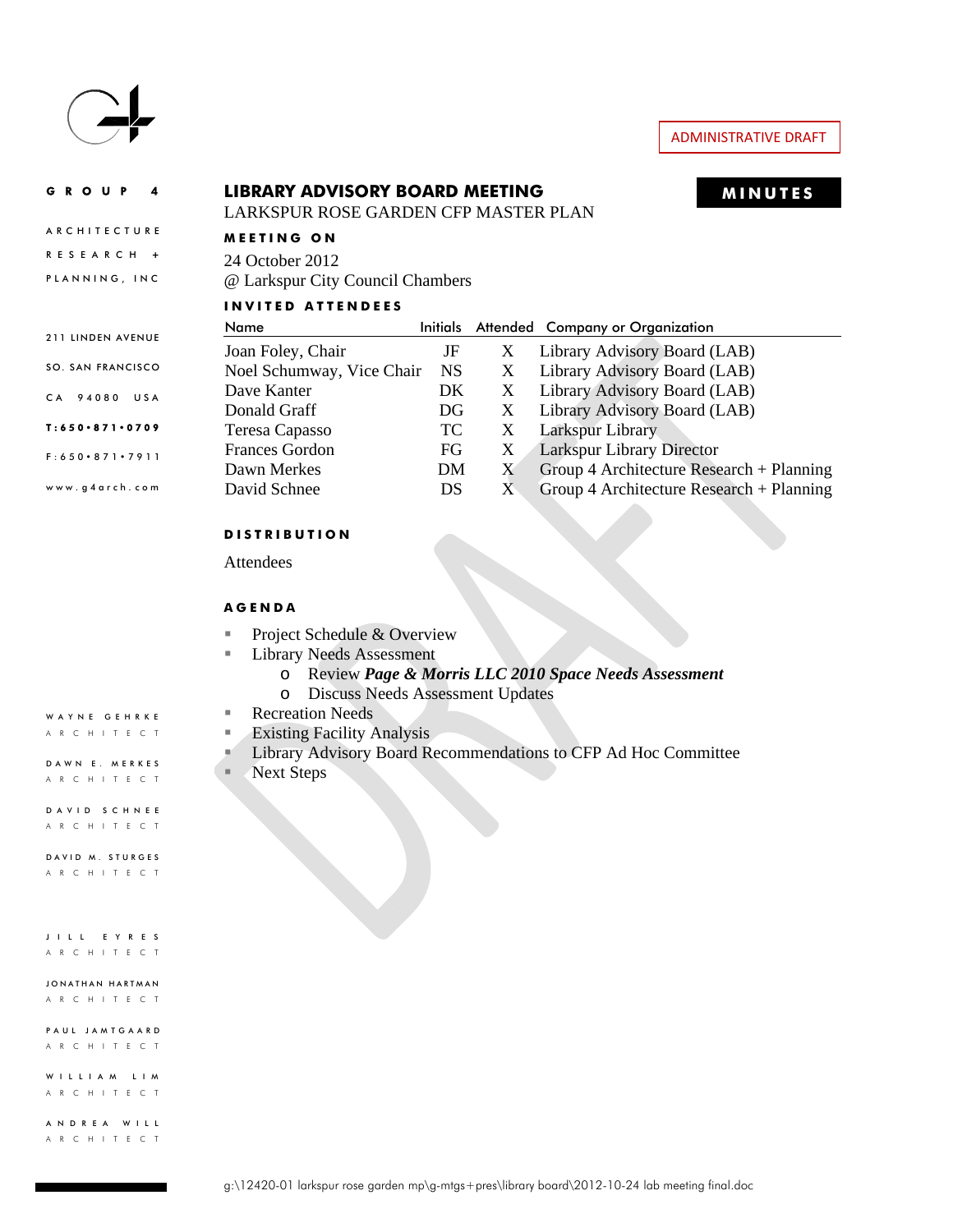

# ADMINISTRATIVE DRAFT

# GROUP 4 **MINUTES LIBRARY ADVISORY BOARD MEETING**

LARKSPUR ROSE GARDEN CFP MASTER PLAN

#### **ARCHITECTURE MEETING ON**

RESEARCH **+** PLANNING, INC

24 October 2012 @ Larkspur City Council Chambers

#### **INVITED ATTENDEES**

|                               | Name                      | <b>Initials</b> |   | Attended Company or Organization           |
|-------------------------------|---------------------------|-----------------|---|--------------------------------------------|
| 211 LINDEN AVENUE             | Joan Foley, Chair         | JF              | X | Library Advisory Board (LAB)               |
| SO. SAN FRANCISCO             | Noel Schumway, Vice Chair | NS              | X | Library Advisory Board (LAB)               |
| CA 94080 USA                  | Dave Kanter               | DK              | X | Library Advisory Board (LAB)               |
|                               | Donald Graff              | DG              | X | Library Advisory Board (LAB)               |
| $T: 650 \cdot 871 \cdot 0709$ | Teresa Capasso            | TC.             | X | Larkspur Library                           |
| $F: 650 \cdot 871 \cdot 7911$ | <b>Frances Gordon</b>     | FG              | X | <b>Larkspur Library Director</b>           |
|                               | Dawn Merkes               | DM              | X | Group 4 Architecture Research + Planning   |
| www.g4arch.com                | David Schnee              | DS              | X | Group 4 Architecture Research $+$ Planning |

#### **DISTRIBUTION**

Attendees

#### **AGENDA**

- Project Schedule & Overview
- **Library Needs Assessment** 
	- o Review *Page & Morris LLC 2010 Space Needs Assessment*
	- o Discuss Needs Assessment Updates
- Recreation Needs
- **Existing Facility Analysis**
- **Library Advisory Board Recommendations to CFP Ad Hoc Committee**
- 

DAVID SCHNEE ARCHITECT

ARCHITECT

ARCHITECT

JONATHAN HARTMAN ARCHITECT

PAUL JAMTGAARD ARCHITECT

WILLIAM LIM ARCHITECT

ANDREA WILL ARCHITECT

- 
- 
- Next Steps
- DAWN E. MERKES ARCHITECT

WAYNE GEHRKE ARCHITECT

DAVID M. STURGES

JILL EYRES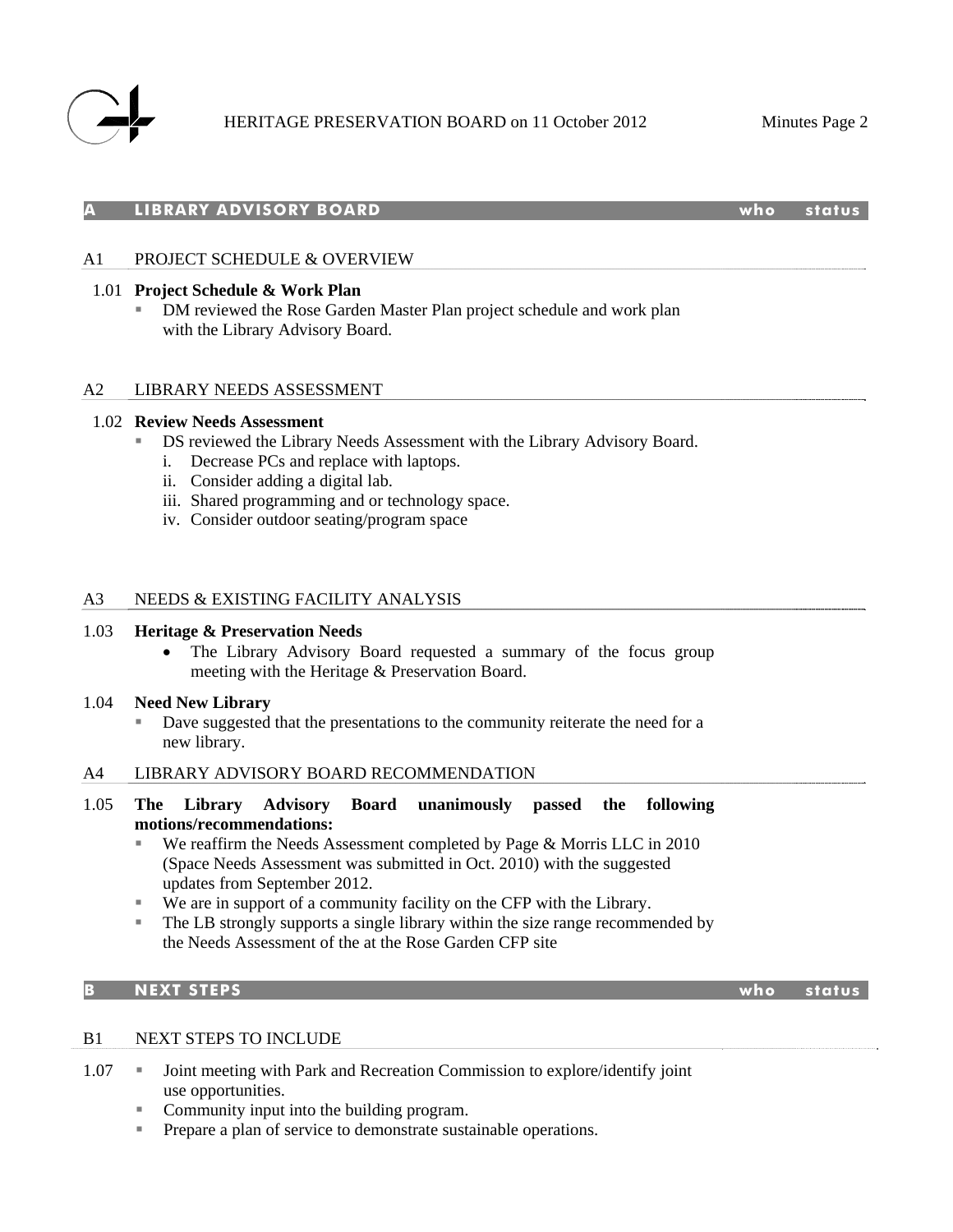

#### **A LIBRARY ADVISORY BOARD who status**

## A1 PROJECT SCHEDULE & OVERVIEW

#### 1.01 **Project Schedule & Work Plan**

 DM reviewed the Rose Garden Master Plan project schedule and work plan with the Library Advisory Board.

## A2 LIBRARY NEEDS ASSESSMENT

#### 1.02 **Review Needs Assessment**

- DS reviewed the Library Needs Assessment with the Library Advisory Board.
	- i. Decrease PCs and replace with laptops.
	- ii. Consider adding a digital lab.
	- iii. Shared programming and or technology space.
	- iv. Consider outdoor seating/program space

#### A3 NEEDS & EXISTING FACILITY ANALYSIS

#### 1.03 **Heritage & Preservation Needs**

 The Library Advisory Board requested a summary of the focus group meeting with the Heritage & Preservation Board.

#### 1.04 **Need New Library**

 Dave suggested that the presentations to the community reiterate the need for a new library.

#### A4 LIBRARY ADVISORY BOARD RECOMMENDATION

## 1.05 **The Library Advisory Board unanimously passed the following motions/recommendations:**

- We reaffirm the Needs Assessment completed by Page & Morris LLC in 2010 (Space Needs Assessment was submitted in Oct. 2010) with the suggested updates from September 2012.
- We are in support of a community facility on the CFP with the Library.
- The LB strongly supports a single library within the size range recommended by the Needs Assessment of the at the Rose Garden CFP site

# **B NEXT STEPS who status**

#### B1 NEXT STEPS TO INCLUDE

- 1.07 **Joint meeting with Park and Recreation Commission to explore/identify joint** use opportunities.
	- Community input into the building program.
	- **Prepare a plan of service to demonstrate sustainable operations.**